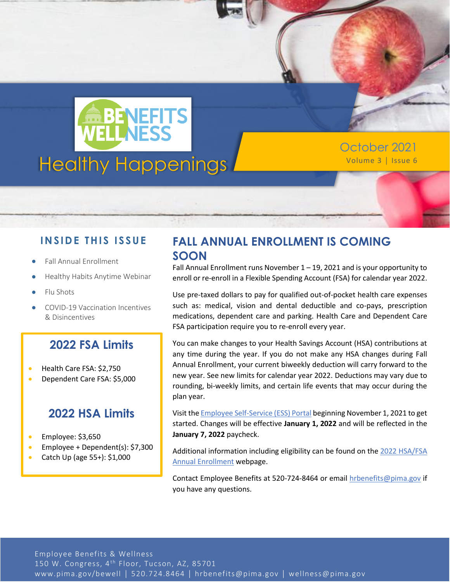

October 2021

#### **IN SID E TH IS ISS UE**

- Fall Annual Enrollment
- Healthy Habits Anytime Webinar
- Flu Shots
- COVID-19 Vaccination Incentives & Disincentives

### **2022 FSA Limits**

- Health Care FSA: \$2,750
- Dependent Care FSA: \$5,000

#### **2022 HSA Limits**

- Employee: \$3,650
- Employee + Dependent(s): \$7,300
- Catch Up (age 55+): \$1,000

# **FALL ANNUAL ENROLLMENT IS COMING SOON**

Fall Annual Enrollment runs November 1 – 19, 2021 and is your opportunity to enroll or re-enroll in a Flexible Spending Account (FSA) for calendar year 2022.

Use pre-taxed dollars to pay for qualified out-of-pocket health care expenses such as: medical, vision and dental deductible and co-pays, prescription medications, dependent care and parking. Health Care and Dependent Care FSA participation require you to re-enroll every year.

You can make changes to your Health Savings Account (HSA) contributions at any time during the year. If you do not make any HSA changes during Fall Annual Enrollment, your current biweekly deduction will carry forward to the new year. See new limits for calendar year 2022. Deductions may vary due to rounding, bi-weekly limits, and certain life events that may occur during the plan year.

Visit th[e Employee Self-Service \(ESS\) Portal](https://online.adp.com/portal/login.html) beginning November 1, 2021 to get started. Changes will be effective **January 1, 2022** and will be reflected in the **January 7, 2022** paycheck.

Additional information including eligibility can be found on th[e 2022 HSA/FSA](https://webcms.pima.gov/cms/One.aspx?portalId=169&pageId=451519)  [Annual Enrollment](https://webcms.pima.gov/cms/One.aspx?portalId=169&pageId=451519) webpage.

Contact Employee Benefits at 520-724-8464 or email [hrbenefits@pima.gov](mailto:hrbenefits@pima.gov) if you have any questions.